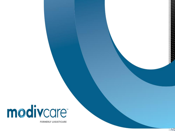

**FORMERLY LOGISTICARE** 

**ISR**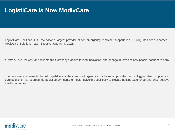## **LogistiCare is Now ModivCare**

LogistiCare Solutions, LLC, the nation's largest provider of non-emergency medical transportation (NEMT), has been renamed ModivCare Solutions, LLC. Effective January 7, 2021.

*Modiv* is Latin for way, and reflects the Company's desire to lead innovation and change in terms of how people connect to care.

The new name represents the full capabilities of the combined organization's focus on providing technology-enabled supportive care solutions that address the social determinants of health (SDoH) specifically to elevate patient experience and drive positive health outcomes.

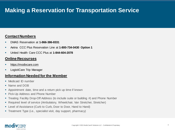## **Making a Reservation for Transportation Service**

#### **Contact Numbers**

- DMAS Reservation at **1-866-386-8331**
- Aetna CCC Plus Reservation Line at **1-800-734-0430 Option 1**
- United Health Care CCC Plus at **1-844-604-2078**

### **Online Recourses**

- **·** [https://modivcare.com](https://modivcare.com/)
- **E** LogistiCare Trip Manager

#### **Information Needed for the Member**

- **Medicaid ID number**
- Name and DOB
- **E** Appointment date, time and a return pick up time if known
- **Pick-Up Address and Phone Number**
- Treating Facility Drop-Off Address (to include suite or building #) and Phone Number
- **EXEQuired level of service (Ambulatory, Wheelchair, Van Stretcher, Stretcher)**
- **EXECTE:** Level of Assistance (Curb to Curb, Door to Door, Hand to Hand)
- **•** Treatment Type (i.e., specialist visit, day support, pharmacy)

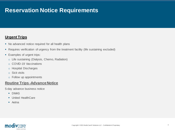### **Reservation Notice Requirements**

#### **Urgent Trips**

- No advanced notice required for all health plans
- **•** Requires verification of urgency from the treatment facility (life sustaining excluded)
- **Examples of urgent trips:** 
	- o Life sustaining (Dialysis, Chemo, Radiation)
	- o COVID-19 Vaccinations
	- o Hospital Discharges
	- o Sick visits
	- o Follow up appointments

### **Routine Trips -Advance Notice**

5-day advance business notice

- DMAS
- **■** United HealthCare
- Aetna

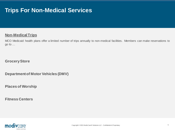# **Trips For Non-Medical Services**

#### **Non-Medical Trips**

MCO Medicaid health plans offer a limited number of trips annually to non-medical facilities. Members can make reservations to go to …

**Grocery Store**

**Department of Motor Vehicles (DMV)**

**Places of Worship**

**Fitness Centers**

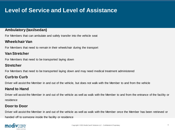### **Level of Service and Level of Assistance**

#### **Ambulatory (taxi/sedan)**

For Members that can ambulate and safely transfer into the vehicle seat

#### **Wheelchair Van**

For Members that need to remain in their wheelchair during the transport

#### **Van Stretcher**

For Members that need to be transported laying down

#### **Stretcher**

For Members that need to be transported laying down and may need medical treatment administered

### **Curb to Curb**

Driver will assist the Member in and out of the vehicle, but does not walk with the Member to and from the vehicle

#### **Hand to Hand**

Driver will assist the Member in and out of the vehicle as well as walk with the Member to and from the entrance of the facility or residence

#### **Door to Door**

Driver will assist the Member in and out of the vehicle as well as walk with the Member once the Member has been retrieved or handed off to someone inside the facility or residence

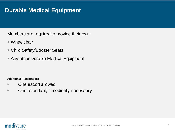### **Durable Medical Equipment**

Members are required to provide their own:

- $\blacksquare$  Wheelchair
- **E** Child Safety/Booster Seats
- **Any other Durable Medical Equipment**

#### **Additional Passengers**

- One escort allowed
- One attendant, if medically necessary

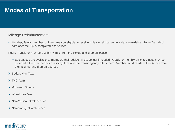### **Modes of Transportation**

#### Mileage Reimbursement

▪ Member, family member, or friend may be eligible to receive mileage reimbursement via a reloadable MasterCard debit card after the trip is completed and verified.

Public Transit for members within ¾ mile from the pickup and drop off location

- ➢ Bus passes are available to members their additional passenger if needed. A daily or monthly unlimited pass may be provided if the member has qualifying trips and the transit agency offers them. Member must reside within  $\frac{3}{4}$  mile from their pick up and drop off address
- ➢ Sedan, Van, Taxi,
- $\triangleright$  TNC (Lyft)
- ➢ Volunteer Drivers
- ➢ Wheelchair Van
- ➢ Non-Medical Stretcher Van
- ➢ Non-emergent Ambulance

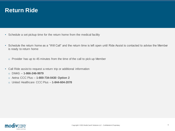### **Return Ride**

- Schedule a set pickup time for the return home from the medical facility
- Schedule the return home as a "Will Call" and the return time is left open until Ride Assist is contacted to advise the Member is ready to return home
	- o Provider has up to 45 minutes from the time of the call to pick up Member
- Call Ride assist to request a return trip or additional information
	- o DMAS **1-866-246-9979**
	- o Aetna CCC Plus **1-800-734-0430 Option 2**
	- o United Healthcare CCC Plus **1-844-604-2078**

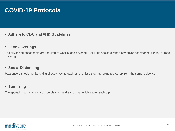### **COVID-19 Protocols**

• **Adhere to CDC and VHD Guidelines** 

#### • **Face Coverings**

The driver and passengers are required to wear a face covering. Call Ride Assist to report any driver not wearing a mask or face covering.

#### • **Social Distancing**

Passengers should not be sitting directly next to each other unless they are being picked up from the same residence.

#### • **Sanitizing**

Transportation providers should be cleaning and sanitizing vehicles after each trip.

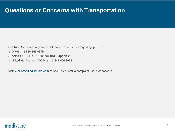### **Questions or Concerns with Transportation**

- Call Ride Assist with any complaint, concerns or issues regarding your ride
	- o DMAS **1-866-246-9979**
	- o Aetna CCC Plus **1-800-734-0430 Option 2**
	- o United Healthcare CCC Plus **1-844-604-2078**
- Visit [WeCare@LogistiCare.com](mailto:WeCare@LogistiCare.com) to securely submit a complaint, issue or concern

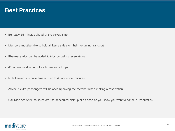### **Best Practices**

- Be ready 15 minutes ahead of the pickup time
- Members must be able to hold all items safely on their lap during transport
- Pharmacy trips can be added to trips by calling reservations
- 45 minute window for will call/open ended trips
- Ride time equals drive time and up to 45 additional minutes
- Advise if extra passengers will be accompanying the member when making a reservation
- Call Ride Assist 24 hours before the scheduled pick up or as soon as you know you want to cancel a reservation

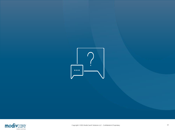

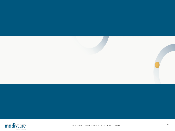